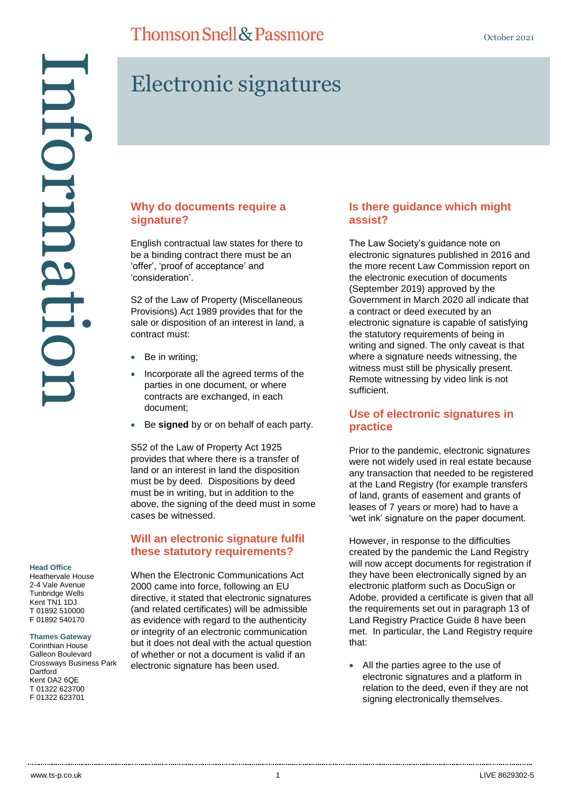Head Office<br>Head Office<br>2-4 Vale Avenue<br>2-4 Vale Avenue<br>2-4 Vale Avenue<br>2-4 Vale Avenue<br>2-1 Of 01392 540170<br>5 01392 540170<br>Corinthian House<br>Crossways Busine<br>2012 022 623700<br>7 01322 623700 ntormatu

# Electronic signatures

#### **Why do documents require a signature?**

English contractual law states for there to be a binding contract there must be an 'offer', 'proof of acceptance' and 'consideration'.

S2 of the Law of Property (Miscellaneous Provisions) Act 1989 provides that for the sale or disposition of an interest in land, a contract must:

- Be in writing;
- Incorporate all the agreed terms of the parties in one document, or where contracts are exchanged, in each document;
- Be **signed** by or on behalf of each party.

S52 of the Law of Property Act 1925 provides that where there is a transfer of land or an interest in land the disposition must be by deed. Dispositions by deed must be in writing, but in addition to the above, the signing of the deed must in some cases be witnessed.

#### **Will an electronic signature fulfil these statutory requirements?**

**Head Office**

Heathervale House 2-4 Vale Avenue Tunbridge Wells Kent TN1 1DJ T 01892 510000 F 01892 540170

#### **Thames Gateway**

Corinthian House Galleon Boulevard Crossways Business Park **Dartford** Kent DA2 6QE T 01322 623700

When the Electronic Communications Act 2000 came into force, following an EU directive, it stated that electronic signatures (and related certificates) will be admissible as evidence with regard to the authenticity or integrity of an electronic communication but it does not deal with the actual question of whether or not a document is valid if an electronic signature has been used.

#### **Is there guidance which might assist?**

The Law Society's guidance note on electronic signatures published in 2016 and the more recent Law Commission report on the electronic execution of documents (September 2019) approved by the Government in March 2020 all indicate that a contract or deed executed by an electronic signature is capable of satisfying the statutory requirements of being in writing and signed. The only caveat is that where a signature needs witnessing, the witness must still be physically present. Remote witnessing by video link is not sufficient.

### **Use of electronic signatures in practice**

Prior to the pandemic, electronic signatures were not widely used in real estate because any transaction that needed to be registered at the Land Registry (for example transfers of land, grants of easement and grants of leases of 7 years or more) had to have a 'wet ink' signature on the paper document.

However, in response to the difficulties created by the pandemic the Land Registry will now accept documents for registration if they have been electronically signed by an electronic platform such as DocuSign or Adobe, provided a certificate is given that all the requirements set out in paragraph 13 of Land Registry Practice Guide 8 have been met. In particular, the Land Registry require that:

 All the parties agree to the use of electronic signatures and a platform in relation to the deed, even if they are not signing electronically themselves.